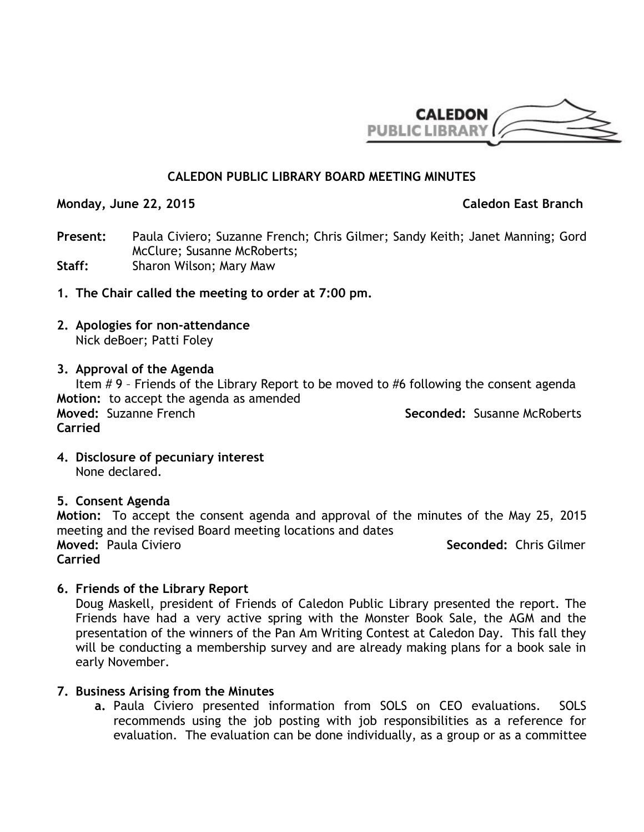

## **CALEDON PUBLIC LIBRARY BOARD MEETING MINUTES**

**Monday, June 22, 2015** Caledon East Branch

**Present:** Paula Civiero; Suzanne French; Chris Gilmer; Sandy Keith; Janet Manning; Gord McClure; Susanne McRoberts; **Staff:** Sharon Wilson; Mary Maw

- **1. The Chair called the meeting to order at 7:00 pm.**
- **2. Apologies for non-attendance** Nick deBoer; Patti Foley
- **3. Approval of the Agenda**

Item # 9 – Friends of the Library Report to be moved to #6 following the consent agenda **Motion:** to accept the agenda as amended **Moved:** Suzanne French **Seconded:** Susanne McRoberts **Carried**

**4. Disclosure of pecuniary interest** None declared.

### **5. Consent Agenda**

**Motion:** To accept the consent agenda and approval of the minutes of the May 25, 2015 meeting and the revised Board meeting locations and dates **Moved:** Paula Civiero **Seconded: Chris Gilmer Seconded: Chris Gilmer Seconded: Chris Gilmer Carried**

**6. Friends of the Library Report**

Doug Maskell, president of Friends of Caledon Public Library presented the report. The Friends have had a very active spring with the Monster Book Sale, the AGM and the presentation of the winners of the Pan Am Writing Contest at Caledon Day. This fall they will be conducting a membership survey and are already making plans for a book sale in early November.

### **7. Business Arising from the Minutes**

**a.** Paula Civiero presented information from SOLS on CEO evaluations. SOLS recommends using the job posting with job responsibilities as a reference for evaluation. The evaluation can be done individually, as a group or as a committee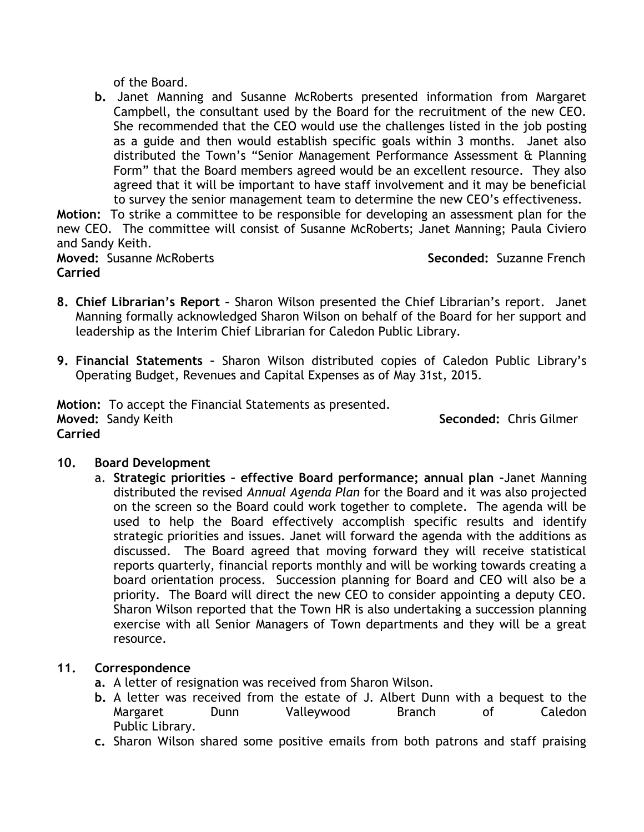of the Board.

**b.** Janet Manning and Susanne McRoberts presented information from Margaret Campbell, the consultant used by the Board for the recruitment of the new CEO. She recommended that the CEO would use the challenges listed in the job posting as a guide and then would establish specific goals within 3 months. Janet also distributed the Town's "Senior Management Performance Assessment & Planning Form" that the Board members agreed would be an excellent resource. They also agreed that it will be important to have staff involvement and it may be beneficial to survey the senior management team to determine the new CEO's effectiveness.

**Motion:** To strike a committee to be responsible for developing an assessment plan for the new CEO. The committee will consist of Susanne McRoberts; Janet Manning; Paula Civiero and Sandy Keith.

**Moved:** Susanne McRoberts **Seconded:** Suzanne French **Carried**

- **8. Chief Librarian's Report –** Sharon Wilson presented the Chief Librarian's report. Janet Manning formally acknowledged Sharon Wilson on behalf of the Board for her support and leadership as the Interim Chief Librarian for Caledon Public Library.
- **9. Financial Statements –** Sharon Wilson distributed copies of Caledon Public Library's Operating Budget, Revenues and Capital Expenses as of May 31st, 2015.

**Motion:** To accept the Financial Statements as presented. **Moved:** Sandy Keith **Seconded:** Chris Gilmer **Carried**

# **10. Board Development**

a. **Strategic priorities – effective Board performance; annual plan –**Janet Manning distributed the revised *Annual Agenda Plan* for the Board and it was also projected on the screen so the Board could work together to complete. The agenda will be used to help the Board effectively accomplish specific results and identify strategic priorities and issues. Janet will forward the agenda with the additions as discussed. The Board agreed that moving forward they will receive statistical reports quarterly, financial reports monthly and will be working towards creating a board orientation process. Succession planning for Board and CEO will also be a priority. The Board will direct the new CEO to consider appointing a deputy CEO. Sharon Wilson reported that the Town HR is also undertaking a succession planning exercise with all Senior Managers of Town departments and they will be a great resource.

# **11. Correspondence**

- **a.** A letter of resignation was received from Sharon Wilson.
- **b.** A letter was received from the estate of J. Albert Dunn with a bequest to the Margaret Dunn Valleywood Branch of Caledon Public Library.
- **c.** Sharon Wilson shared some positive emails from both patrons and staff praising